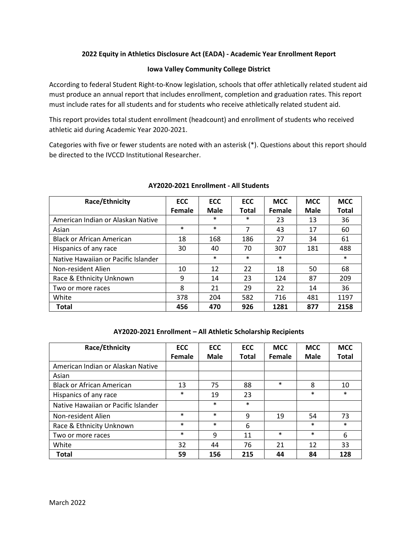#### 2022 Equity in Athletics Disclosure Act (EADA) - Academic Year Enrollment Report

#### Iowa Valley Community College District

According to federal Student Right-to-Know legislation, schools that offer athletically related student aid must produce an annual report that includes enrollment, completion and graduation rates. This report must include rates for all students and for students who receive athletically related student aid.

This report provides total student enrollment (headcount) and enrollment of students who received athletic aid during Academic Year 2020-2021.

Categories with five or fewer students are noted with an asterisk (\*). Questions about this report should be directed to the IVCCD Institutional Researcher.

| Race/Ethnicity                      | <b>ECC</b> | <b>ECC</b> | <b>ECC</b>   | <b>MCC</b> | <b>MCC</b> | <b>MCC</b>   |
|-------------------------------------|------------|------------|--------------|------------|------------|--------------|
|                                     | Female     | Male       | <b>Total</b> | Female     | Male       | <b>Total</b> |
| American Indian or Alaskan Native   |            | $\ast$     | $\ast$       | 23         | 13         | 36           |
| Asian                               | $\ast$     | $\ast$     | 7            | 43         | 17         | 60           |
| <b>Black or African American</b>    | 18         | 168        | 186          | 27         | 34         | 61           |
| Hispanics of any race               | 30         | 40         | 70           | 307        | 181        | 488          |
| Native Hawaiian or Pacific Islander |            | $\ast$     | $\ast$       | $\ast$     |            | $\ast$       |
| Non-resident Alien                  | 10         | 12         | 22           | 18         | 50         | 68           |
| Race & Ethnicity Unknown            | 9          | 14         | 23           | 124        | 87         | 209          |
| Two or more races                   | 8          | 21         | 29           | 22         | 14         | 36           |
| White                               | 378        | 204        | 582          | 716        | 481        | 1197         |
| <b>Total</b>                        | 456        | 470        | 926          | 1281       | 877        | 2158         |

#### AY2020-2021 Enrollment - All Students

|  | AY2020-2021 Enrollment - All Athletic Scholarship Recipients |  |
|--|--------------------------------------------------------------|--|
|  |                                                              |  |

| Race/Ethnicity                      | <b>ECC</b> | <b>ECC</b> | <b>ECC</b>   | <b>MCC</b> | <b>MCC</b>  | <b>MCC</b>   |
|-------------------------------------|------------|------------|--------------|------------|-------------|--------------|
|                                     | Female     | Male       | <b>Total</b> | Female     | <b>Male</b> | <b>Total</b> |
| American Indian or Alaskan Native   |            |            |              |            |             |              |
| Asian                               |            |            |              |            |             |              |
| <b>Black or African American</b>    | 13         | 75         | 88           | $\ast$     | 8           | 10           |
| Hispanics of any race               | $\ast$     | 19         | 23           |            | $\ast$      | $\ast$       |
| Native Hawaiian or Pacific Islander |            | $\ast$     | $\ast$       |            |             |              |
| Non-resident Alien                  | $\ast$     | $\ast$     | 9            | 19         | 54          | 73           |
| Race & Ethnicity Unknown            | $\ast$     | $\ast$     | 6            |            | $\ast$      | $\ast$       |
| Two or more races                   | $\ast$     | 9          | 11           | $\ast$     | $\ast$      | 6            |
| White                               | 32         | 44         | 76           | 21         | 12          | 33           |
| <b>Total</b>                        | 59         | 156        | 215          | 44         | 84          | 128          |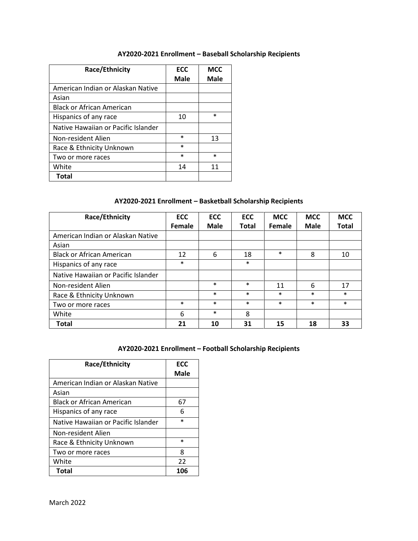### AY2020-2021 Enrollment – Baseball Scholarship Recipients

| Race/Ethnicity                      | <b>ECC</b><br>Male | <b>MCC</b><br>Male |
|-------------------------------------|--------------------|--------------------|
| American Indian or Alaskan Native   |                    |                    |
| Asian                               |                    |                    |
| <b>Black or African American</b>    |                    |                    |
| Hispanics of any race               | 10                 | $\ast$             |
| Native Hawaiian or Pacific Islander |                    |                    |
| Non-resident Alien                  | $\ast$             | 13                 |
| Race & Ethnicity Unknown            | $\ast$             |                    |
| Two or more races                   | $\ast$             | $\ast$             |
| White                               | 14                 | 11                 |
| Total                               |                    |                    |

## AY2020-2021 Enrollment – Basketball Scholarship Recipients

| Race/Ethnicity                      | <b>ECC</b> | <b>ECC</b> | <b>ECC</b>   | <b>MCC</b> | <b>MCC</b> | <b>MCC</b>   |
|-------------------------------------|------------|------------|--------------|------------|------------|--------------|
|                                     | Female     | Male       | <b>Total</b> | Female     | Male       | <b>Total</b> |
| American Indian or Alaskan Native   |            |            |              |            |            |              |
| Asian                               |            |            |              |            |            |              |
| <b>Black or African American</b>    | 12         | 6          | 18           | $\ast$     | 8          | 10           |
| Hispanics of any race               | $\ast$     |            | $\ast$       |            |            |              |
| Native Hawaiian or Pacific Islander |            |            |              |            |            |              |
| Non-resident Alien                  |            | $\ast$     | $\ast$       | 11         | 6          | 17           |
| Race & Ethnicity Unknown            |            | $\ast$     | $\ast$       | $\ast$     | $\ast$     | $\ast$       |
| Two or more races                   | $\ast$     | $\ast$     | $\ast$       | $\ast$     | $\ast$     | $\ast$       |
| White                               | 6          | $\ast$     | 8            |            |            |              |
| <b>Total</b>                        | 21         | 10         | 31           | 15         | 18         | 33           |

### AY2020-2021 Enrollment – Football Scholarship Recipients

| Race/Ethnicity                      | <b>ECC</b>  |
|-------------------------------------|-------------|
|                                     | <b>Male</b> |
| American Indian or Alaskan Native   |             |
| Asian                               |             |
| <b>Black or African American</b>    | 67          |
| Hispanics of any race               | 6           |
| Native Hawaiian or Pacific Islander | *           |
| Non-resident Alien                  |             |
| Race & Ethnicity Unknown            | $\ast$      |
| Two or more races                   | 8           |
| White                               | 22          |
| Total                               | 106         |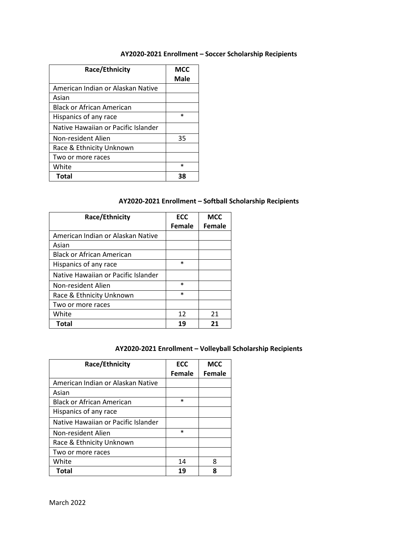### AY2020-2021 Enrollment – Soccer Scholarship Recipients

| Race/Ethnicity                      | <b>MCC</b><br>Male |
|-------------------------------------|--------------------|
| American Indian or Alaskan Native   |                    |
| Asian                               |                    |
| <b>Black or African American</b>    |                    |
| Hispanics of any race               | $\ast$             |
| Native Hawaiian or Pacific Islander |                    |
| Non-resident Alien                  | 35                 |
| Race & Ethnicity Unknown            |                    |
| Two or more races                   |                    |
| White                               | $\ast$             |
| <b>Total</b>                        | 38                 |

## AY2020-2021 Enrollment – Softball Scholarship Recipients

| Race/Ethnicity                      | <b>ECC</b> | <b>MCC</b> |
|-------------------------------------|------------|------------|
|                                     | Female     | Female     |
| American Indian or Alaskan Native   |            |            |
| Asian                               |            |            |
| Black or African American           |            |            |
| Hispanics of any race               | $\ast$     |            |
| Native Hawaiian or Pacific Islander |            |            |
| Non-resident Alien                  | $\ast$     |            |
| Race & Ethnicity Unknown            | $\ast$     |            |
| Two or more races                   |            |            |
| White                               | 12         | 21         |
| Total                               | 19         | 21         |

## AY2020-2021 Enrollment – Volleyball Scholarship Recipients

| Race/Ethnicity                      | <b>ECC</b> | <b>MCC</b>    |
|-------------------------------------|------------|---------------|
|                                     | Female     | <b>Female</b> |
| American Indian or Alaskan Native   |            |               |
| Asian                               |            |               |
| Black or African American           | $\ast$     |               |
| Hispanics of any race               |            |               |
| Native Hawaiian or Pacific Islander |            |               |
| Non-resident Alien                  | $\ast$     |               |
| Race & Ethnicity Unknown            |            |               |
| Two or more races                   |            |               |
| White                               | 14         | 8             |
| <b>Total</b>                        | 19         | 8             |